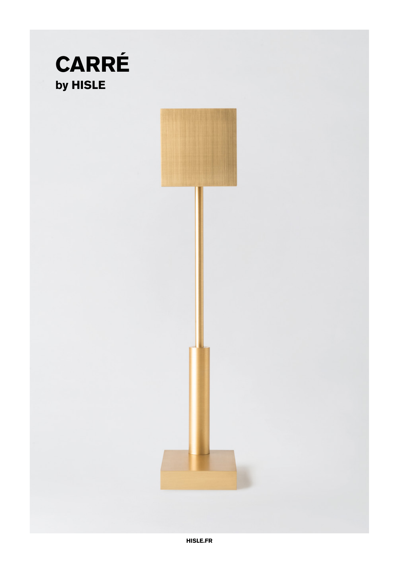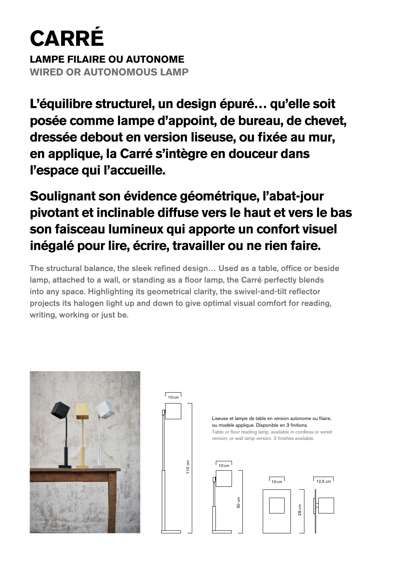# **CARRÉ**

**LAMPE FILAIRE OU AUTONOME WIRED OR AUTONOMOUS LAMP**

**L'équilibre structurel, un design épuré… qu'elle soit posée comme lampe d'appoint, de bureau, de chevet, dressée debout en version liseuse, ou fixée au mur, en applique, la Carré s'intègre en douceur dans l'espace qui l'accueille.** 

# **Soulignant son évidence géométrique, l'abat-jour pivotant et inclinable diffuse vers le haut et vers le bas son faisceau lumineux qui apporte un confort visuel inégalé pour lire, écrire, travailler ou ne rien faire.**

The structural balance, the sleek refined design… Used as a table, office or beside lamp, attached to a wall, or standing as a floor lamp, the Carré perfectly blends into any space. Highlighting its geometrical clarity, the swivel-and-tilt reflector projects its halogen light up and down to give optimal visual comfort for reading, writing, working or just be.







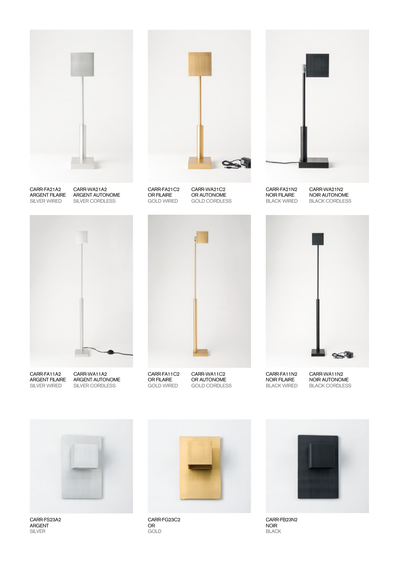

CARR-FA21A2 SILVER WIRED

ARGENT FILAIRE ARGENT AUTONOME CARR-WA21A2 SILVER CORDLESS



CARR-FA21C2 OR FILAIRE GOLD WIRED

CARR-WA21C2 OR AUTONOME GOLD CORDLESS



CARR-FA21N2 NOIR FILAIRE BLACK WIRED

CARR-WA21N2 NOIR AUTONOME BLACK CORDLESS



CARR-FA11A2 SILVER WIRED

ARGENT FILAIRE ARGENT AUTONOME CARR-WA11A2 SILVER CORDLESS



CARR-FA11C2 OR FILAIRE GOLD WIRED

CARR-WA11C2 OR AUTONOME GOLD CORDLESS

CARR-FA11N2 NOIR FILAIRE BLACK WIRED



NOIR AUTONOME BLACK CORDLESS



CARR-FS23A2 ARGENT SILVER



CARR-FG23C2 OR GOLD



CARR-FB23N2 NOIR BLACK